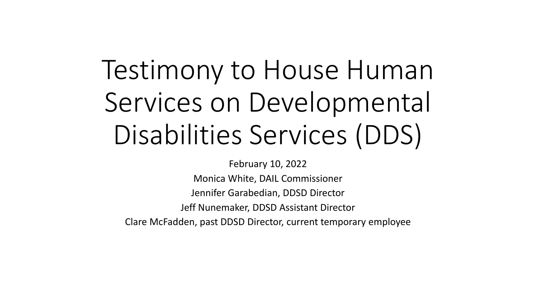## Testimony to House Human Services on Developmental Disabilities Services (DDS)

February 10, 2022 Monica White, DAIL Commissioner Jennifer Garabedian, DDSD Director Jeff Nunemaker, DDSD Assistant Director Clare McFadden, past DDSD Director, current temporary employee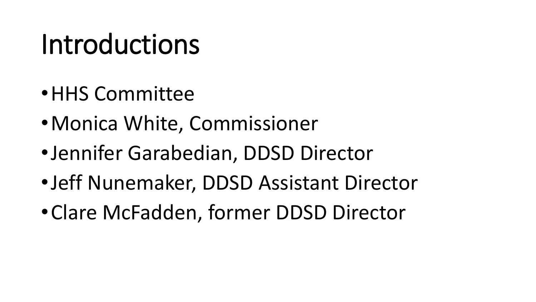## Introductions

- •HHS Committee
- •Monica White, Commissioner
- •Jennifer Garabedian, DDSD Director
- •Jeff Nunemaker, DDSD Assistant Director
- •Clare McFadden, former DDSD Director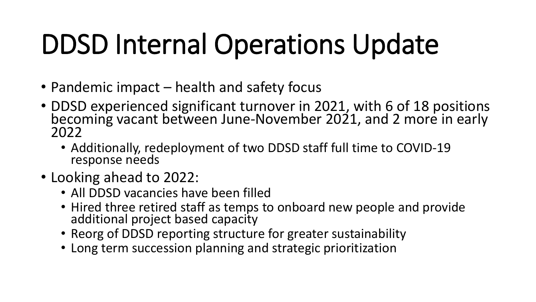# DDSD Internal Operations Update

- Pandemic impact health and safety focus
- DDSD experienced significant turnover in 2021, with 6 of 18 positions becoming vacant between June-November 2021, and 2 more in early 2022
	- Additionally, redeployment of two DDSD staff full time to COVID-19 response needs
- Looking ahead to 2022:
	- All DDSD vacancies have been filled
	- Hired three retired staff as temps to onboard new people and provide additional project based capacity
	- Reorg of DDSD reporting structure for greater sustainability
	- Long term succession planning and strategic prioritization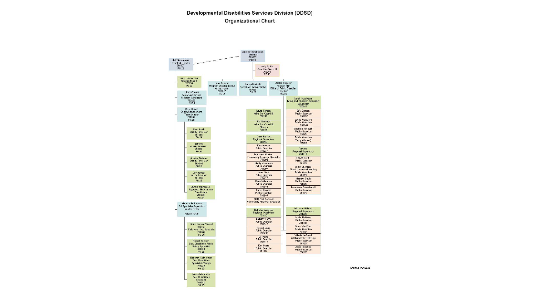#### Developmental Disabilities Services Division (DDSD) **Organizational Chart**



Effective 1/24/2022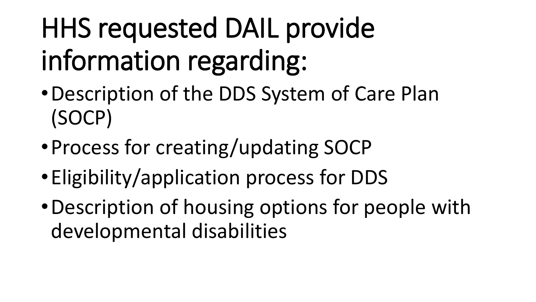# HHS requested DAIL provide information regarding:

- •Description of the DDS System of Care Plan (SOCP)
- •Process for creating/updating SOCP
- •Eligibility/application process for DDS
- •Description of housing options for people with developmental disabilities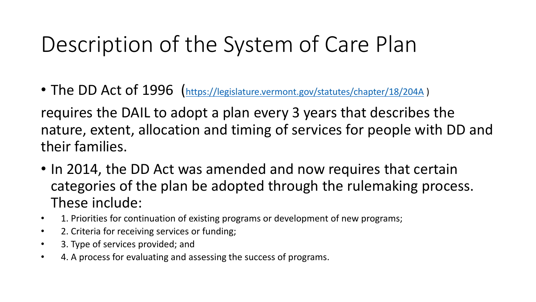#### Description of the System of Care Plan

• The DD Act of 1996 (<https://legislature.vermont.gov/statutes/chapter/18/204A>)

requires the DAIL to adopt a plan every 3 years that describes the nature, extent, allocation and timing of services for people with DD and their families.

- In 2014, the DD Act was amended and now requires that certain categories of the plan be adopted through the rulemaking process. These include:
- 1. Priorities for continuation of existing programs or development of new programs;
- 2. Criteria for receiving services or funding;
- 3. Type of services provided; and
- 4. A process for evaluating and assessing the success of programs.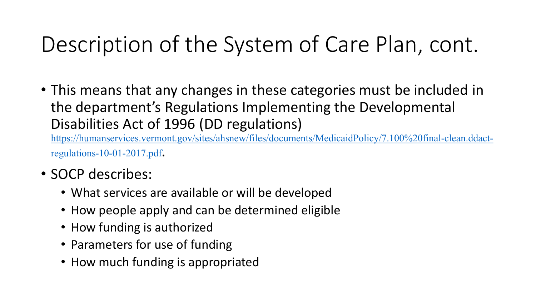#### Description of the System of Care Plan, cont.

• This means that any changes in these categories must be included in the department's Regulations Implementing the Developmental Disabilities Act of 1996 (DD regulations) [https://humanservices.vermont.gov/sites/ahsnew/files/documents/MedicaidPolicy/7.100%20final-clean.ddact-](https://humanservices.vermont.gov/sites/ahsnew/files/documents/MedicaidPolicy/7.100%20final-clean.ddact-regulations-10-01-2017.pdf)

regulations-10-01-2017.pdf.

- SOCP describes:
	- What services are available or will be developed
	- How people apply and can be determined eligible
	- How funding is authorized
	- Parameters for use of funding
	- How much funding is appropriated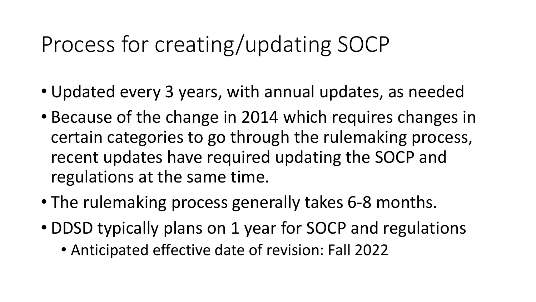#### Process for creating/updating SOCP

- Updated every 3 years, with annual updates, as needed
- Because of the change in 2014 which requires changes in certain categories to go through the rulemaking process, recent updates have required updating the SOCP and regulations at the same time.
- The rulemaking process generally takes 6-8 months.
- DDSD typically plans on 1 year for SOCP and regulations
	- Anticipated effective date of revision: Fall 2022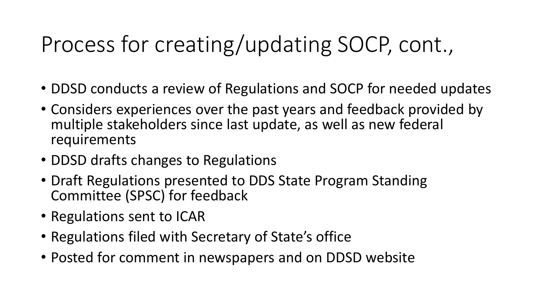#### Process for creating/updating SOCP, cont.,

- DDSD conducts a review of Regulations and SOCP for needed updates
- Considers experiences over the past years and feedback provided by multiple stakeholders since last update, as well as new federal requirements
- DDSD drafts changes to Regulations
- Draft Regulations presented to DDS State Program Standing Committee (SPSC) for feedback
- Regulations sent to ICAR
- Regulations filed with Secretary of State's office
- Posted for comment in newspapers and on DDSD website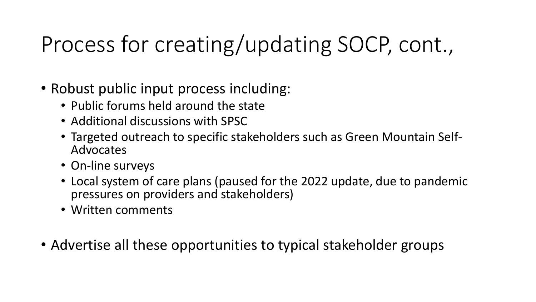### Process for creating/updating SOCP, cont.,

- Robust public input process including:
	- Public forums held around the state
	- Additional discussions with SPSC
	- Targeted outreach to specific stakeholders such as Green Mountain Self- Advocates
	- On-line surveys
	- Local system of care plans (paused for the 2022 update, due to pandemic pressures on providers and stakeholders)
	- Written comments
- Advertise all these opportunities to typical stakeholder groups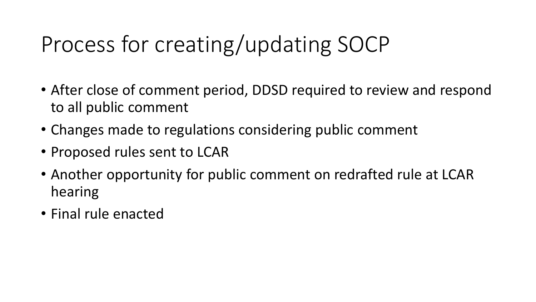### Process for creating/updating SOCP

- After close of comment period, DDSD required to review and respond to all public comment
- Changes made to regulations considering public comment
- Proposed rules sent to LCAR
- Another opportunity for public comment on redrafted rule at LCAR hearing
- Final rule enacted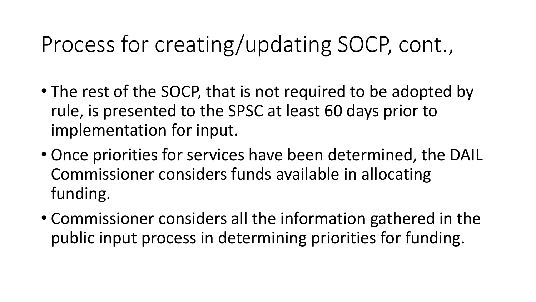#### Process for creating/updating SOCP, cont.,

- The rest of the SOCP, that is not required to be adopted by rule, is presented to the SPSC at least 60 days prior to implementation for input.
- Once priorities for services have been determined, the DAIL Commissioner considers funds available in allocating funding.
- Commissioner considers all the information gathered in the public input process in determining priorities for funding.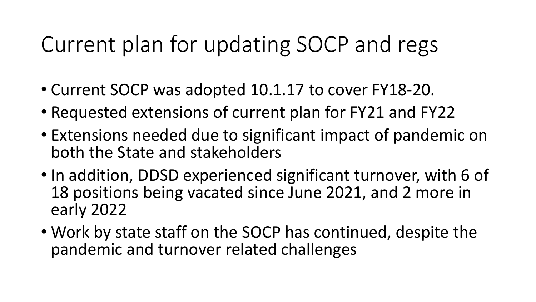#### Current plan for updating SOCP and regs

- Current SOCP was adopted 10.1.17 to cover FY18-20.
- Requested extensions of current plan for FY21 and FY22
- Extensions needed due to significant impact of pandemic on both the State and stakeholders
- In addition, DDSD experienced significant turnover, with 6 of 18 positions being vacated since June 2021, and 2 more in early 2022
- Work by state staff on the SOCP has continued, despite the pandemic and turnover related challenges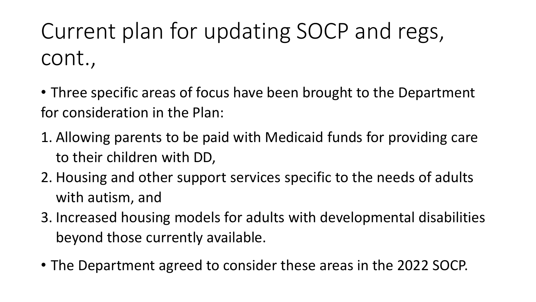Current plan for updating SOCP and regs, cont.,

• Three specific areas of focus have been brought to the Department for consideration in the Plan:

- 1. Allowing parents to be paid with Medicaid funds for providing care to their children with DD,
- 2. Housing and other support services specific to the needs of adults with autism, and
- 3. Increased housing models for adults with developmental disabilities beyond those currently available.
- The Department agreed to consider these areas in the 2022 SOCP.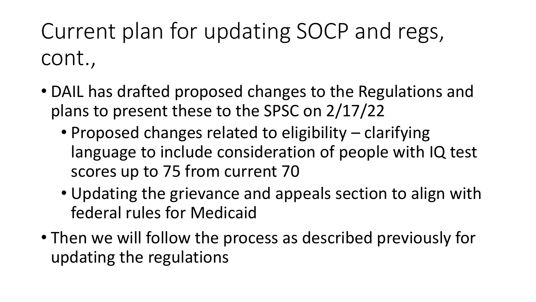Current plan for updating SOCP and regs, cont.,

- DAIL has drafted proposed changes to the Regulations and plans to present these to the SPSC on 2/17/22
	- Proposed changes related to eligibility clarifying language to include consideration of people with IQ test scores up to 75 from current 70
	- Updating the grievance and appeals section to align with federal rules for Medicaid
- Then we will follow the process as described previously for updating the regulations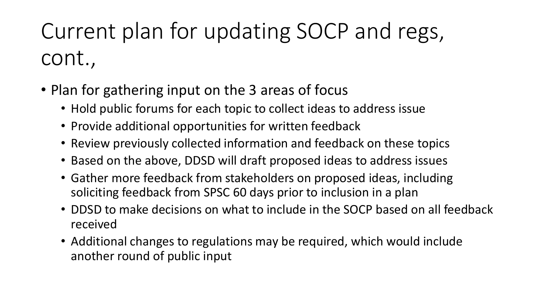## Current plan for updating SOCP and regs, cont.,

- Plan for gathering input on the 3 areas of focus
	- Hold public forums for each topic to collect ideas to address issue
	- Provide additional opportunities for written feedback
	- Review previously collected information and feedback on these topics
	- Based on the above, DDSD will draft proposed ideas to address issues
	- Gather more feedback from stakeholders on proposed ideas, including soliciting feedback from SPSC 60 days prior to inclusion in a plan
	- DDSD to make decisions on what to include in the SOCP based on all feedback received
	- Additional changes to regulations may be required, which would include another round of public input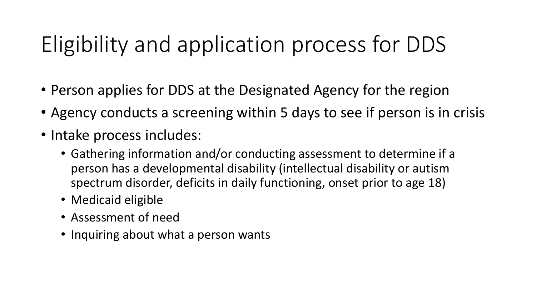### Eligibility and application process for DDS

- Person applies for DDS at the Designated Agency for the region
- Agency conducts a screening within 5 days to see if person is in crisis
- Intake process includes:
	- Gathering information and/or conducting assessment to determine if a person has a developmental disability (intellectual disability or autism spectrum disorder, deficits in daily functioning, onset prior to age 18)
	- Medicaid eligible
	- Assessment of need
	- Inquiring about what a person wants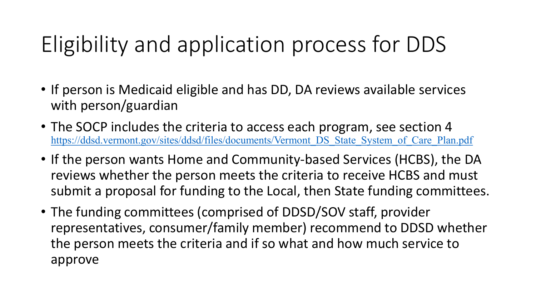### Eligibility and application process for DDS

- If person is Medicaid eligible and has DD, DA reviews available services with person/guardian
- The SOCP includes the criteria to access each program, see section 4 [https://ddsd.vermont.gov/sites/ddsd/files/documents/Vermont\\_DS\\_State\\_System\\_of\\_Care\\_Plan.pdf](https://ddsd.vermont.gov/sites/ddsd/files/documents/Vermont_DS_State_System_of_Care_Plan.pdf)
- If the person wants Home and Community-based Services (HCBS), the DA reviews whether the person meets the criteria to receive HCBS and must submit a proposal for funding to the Local, then State funding committees.
- The funding committees (comprised of DDSD/SOV staff, provider representatives, consumer/family member) recommend to DDSD whether the person meets the criteria and if so what and how much service to approve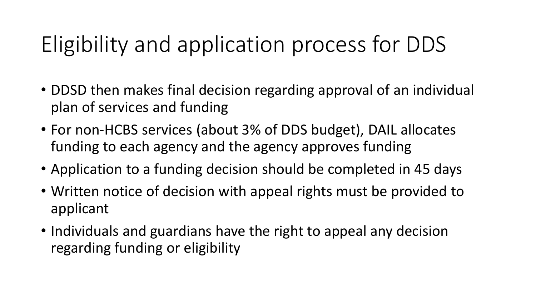#### Eligibility and application process for DDS

- DDSD then makes final decision regarding approval of an individual plan of services and funding
- For non-HCBS services (about 3% of DDS budget), DAIL allocates funding to each agency and the agency approves funding
- Application to a funding decision should be completed in 45 days
- Written notice of decision with appeal rights must be provided to applicant
- Individuals and guardians have the right to appeal any decision regarding funding or eligibility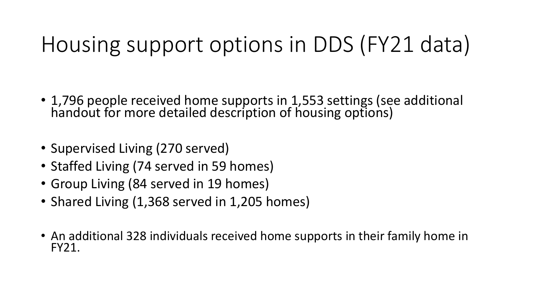#### Housing support options in DDS (FY21 data)

- 1,796 people received home supports in 1,553 settings (see additional handout for more detailed description of housing options)
- Supervised Living (270 served)
- Staffed Living (74 served in 59 homes)
- Group Living (84 served in 19 homes)
- Shared Living (1,368 served in 1,205 homes)
- An additional 328 individuals received home supports in their family home in FY21.